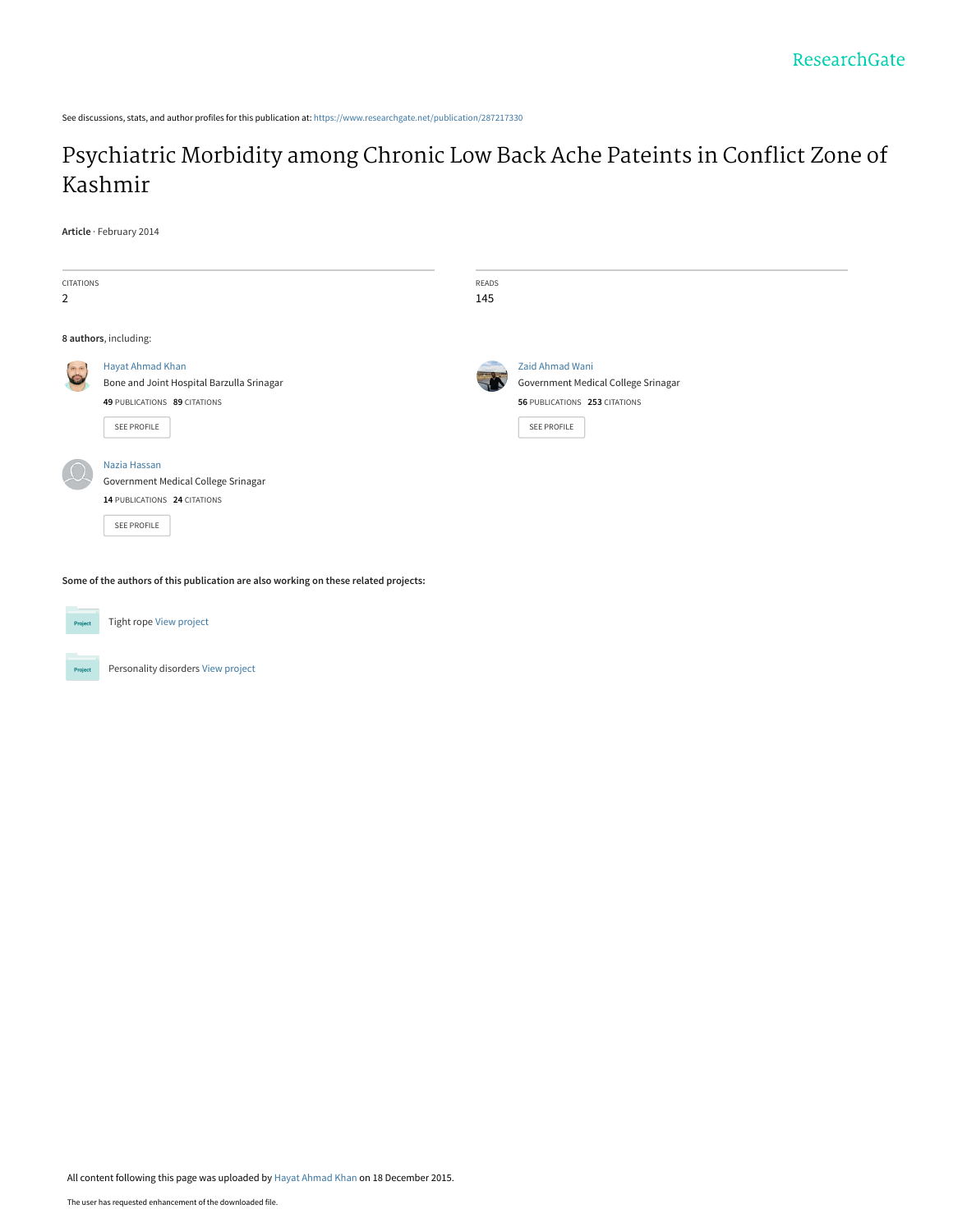See discussions, stats, and author profiles for this publication at: [https://www.researchgate.net/publication/287217330](https://www.researchgate.net/publication/287217330_Psychiatric_Morbidity_among_Chronic_Low_Back_Ache_Pateints_in_Conflict_Zone_of_Kashmir?enrichId=rgreq-af2307b413d6c3dc4ee1bb4f90729b72-XXX&enrichSource=Y292ZXJQYWdlOzI4NzIxNzMzMDtBUzozMDgwOTc2OTg5OTIxMjlAMTQ1MDQ2NzYyMzE0OQ%3D%3D&el=1_x_2&_esc=publicationCoverPdf)

# [Psychiatric Morbidity among Chronic Low Back Ache Pateints in Conflict Zone of](https://www.researchgate.net/publication/287217330_Psychiatric_Morbidity_among_Chronic_Low_Back_Ache_Pateints_in_Conflict_Zone_of_Kashmir?enrichId=rgreq-af2307b413d6c3dc4ee1bb4f90729b72-XXX&enrichSource=Y292ZXJQYWdlOzI4NzIxNzMzMDtBUzozMDgwOTc2OTg5OTIxMjlAMTQ1MDQ2NzYyMzE0OQ%3D%3D&el=1_x_3&_esc=publicationCoverPdf) Kashmir

**Article** · February 2014

| CITATIONS<br>2   |                                                                                                                     | READS<br>145 |                                                                                                        |
|------------------|---------------------------------------------------------------------------------------------------------------------|--------------|--------------------------------------------------------------------------------------------------------|
|                  | 8 authors, including:                                                                                               |              |                                                                                                        |
| <b>ROLL</b><br>E | <b>Hayat Ahmad Khan</b><br>Bone and Joint Hospital Barzulla Srinagar<br>49 PUBLICATIONS 89 CITATIONS<br>SEE PROFILE |              | Zaid Ahmad Wani<br>Government Medical College Srinagar<br>56 PUBLICATIONS 253 CITATIONS<br>SEE PROFILE |
|                  | Nazia Hassan<br>Government Medical College Srinagar<br>14 PUBLICATIONS 24 CITATIONS<br>SEE PROFILE                  |              |                                                                                                        |

**Some of the authors of this publication are also working on these related projects:**



Tight rope [View project](https://www.researchgate.net/project/Tight-rope?enrichId=rgreq-af2307b413d6c3dc4ee1bb4f90729b72-XXX&enrichSource=Y292ZXJQYWdlOzI4NzIxNzMzMDtBUzozMDgwOTc2OTg5OTIxMjlAMTQ1MDQ2NzYyMzE0OQ%3D%3D&el=1_x_9&_esc=publicationCoverPdf)



Personality disorders [View project](https://www.researchgate.net/project/Personality-disorders?enrichId=rgreq-af2307b413d6c3dc4ee1bb4f90729b72-XXX&enrichSource=Y292ZXJQYWdlOzI4NzIxNzMzMDtBUzozMDgwOTc2OTg5OTIxMjlAMTQ1MDQ2NzYyMzE0OQ%3D%3D&el=1_x_9&_esc=publicationCoverPdf)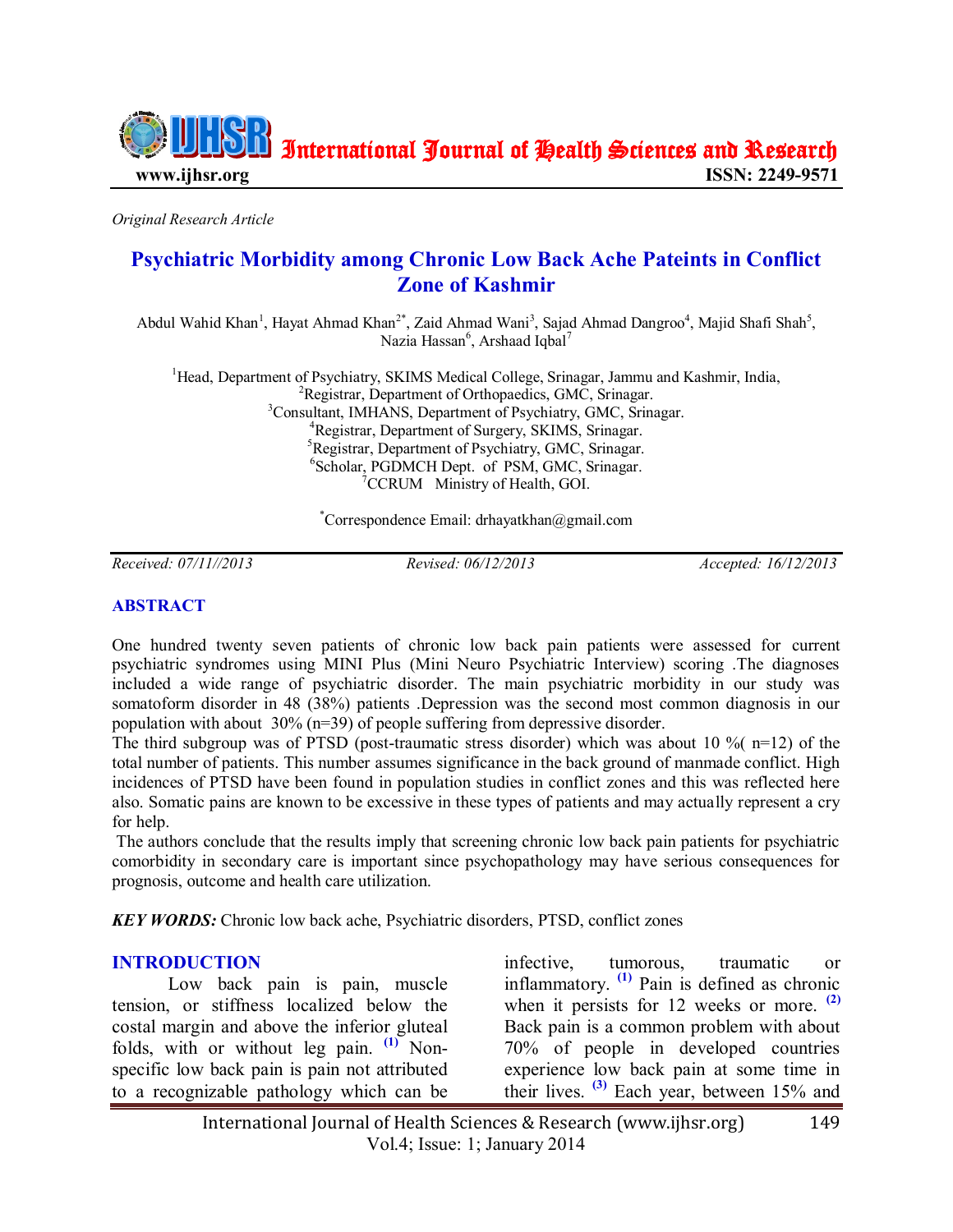

*Original Research Article*

## **Psychiatric Morbidity among Chronic Low Back Ache Pateints in Conflict Zone of Kashmir**

Abdul Wahid Khan<sup>1</sup>, Hayat Ahmad Khan<sup>2\*</sup>, Zaid Ahmad Wani<sup>3</sup>, Sajad Ahmad Dangroo<sup>4</sup>, Majid Shafi Shah<sup>5</sup>, Nazia Hassan<sup>6</sup>, Arshaad Iqbal<sup>7</sup>

<sup>1</sup>Head, Department of Psychiatry, SKIMS Medical College, Srinagar, Jammu and Kashmir, India, <sup>2</sup>Registrar, Department of Orthopaedics, GMC, Srinagar. <sup>3</sup>Consultant, IMHANS, Department of Psychiatry, GMC, Srinagar. <sup>4</sup>Registrar, Department of Surgery, SKIMS, Srinagar. <sup>5</sup>Registrar, Department of Psychiatry, GMC, Srinagar. 6 Scholar, PGDMCH Dept. of PSM, GMC, Srinagar.  ${}^{7}$ CCRUM Ministry of Health, GOI.

\*Correspondence Email: drhayatkhan@gmail.com

*Received: 07/11//2013 Revised: 06/12/2013 Accepted: 16/12/2013*

#### **ABSTRACT**

One hundred twenty seven patients of chronic low back pain patients were assessed for current psychiatric syndromes using MINI Plus (Mini Neuro Psychiatric Interview) scoring .The diagnoses included a wide range of psychiatric disorder. The main psychiatric morbidity in our study was somatoform disorder in 48 (38%) patients .Depression was the second most common diagnosis in our population with about 30% (n=39) of people suffering from depressive disorder.

The third subgroup was of PTSD (post-traumatic stress disorder) which was about 10  $\%$  (n=12) of the total number of patients. This number assumes significance in the back ground of manmade conflict. High incidences of PTSD have been found in population studies in conflict zones and this was reflected here also. Somatic pains are known to be excessive in these types of patients and may actually represent a cry for help.

The authors conclude that the results imply that screening chronic low back pain patients for psychiatric comorbidity in secondary care is important since psychopathology may have serious consequences for prognosis, outcome and health care utilization.

*KEY WORDS:* Chronic low back ache, Psychiatric disorders, PTSD, conflict zones

#### **INTRODUCTION**

Low back pain is pain, muscle tension, or stiffness localized below the costal margin and above the inferior gluteal folds, with or without leg pain. **[\(1\)](#page-3-0)** Nonspecific low back pain is pain not attributed to a recognizable pathology which can be

infective, tumorous, traumatic or inflammatory. **[\(1\)](#page-3-0)** Pain is defined as chronic when it persists for 12 weeks or more. **[\(2\)](#page-4-0)** Back pain is a common problem with about 70% of people in developed countries experience low back pain at some time in their lives. **[\(3\)](#page-4-1)** Each year, between 15% and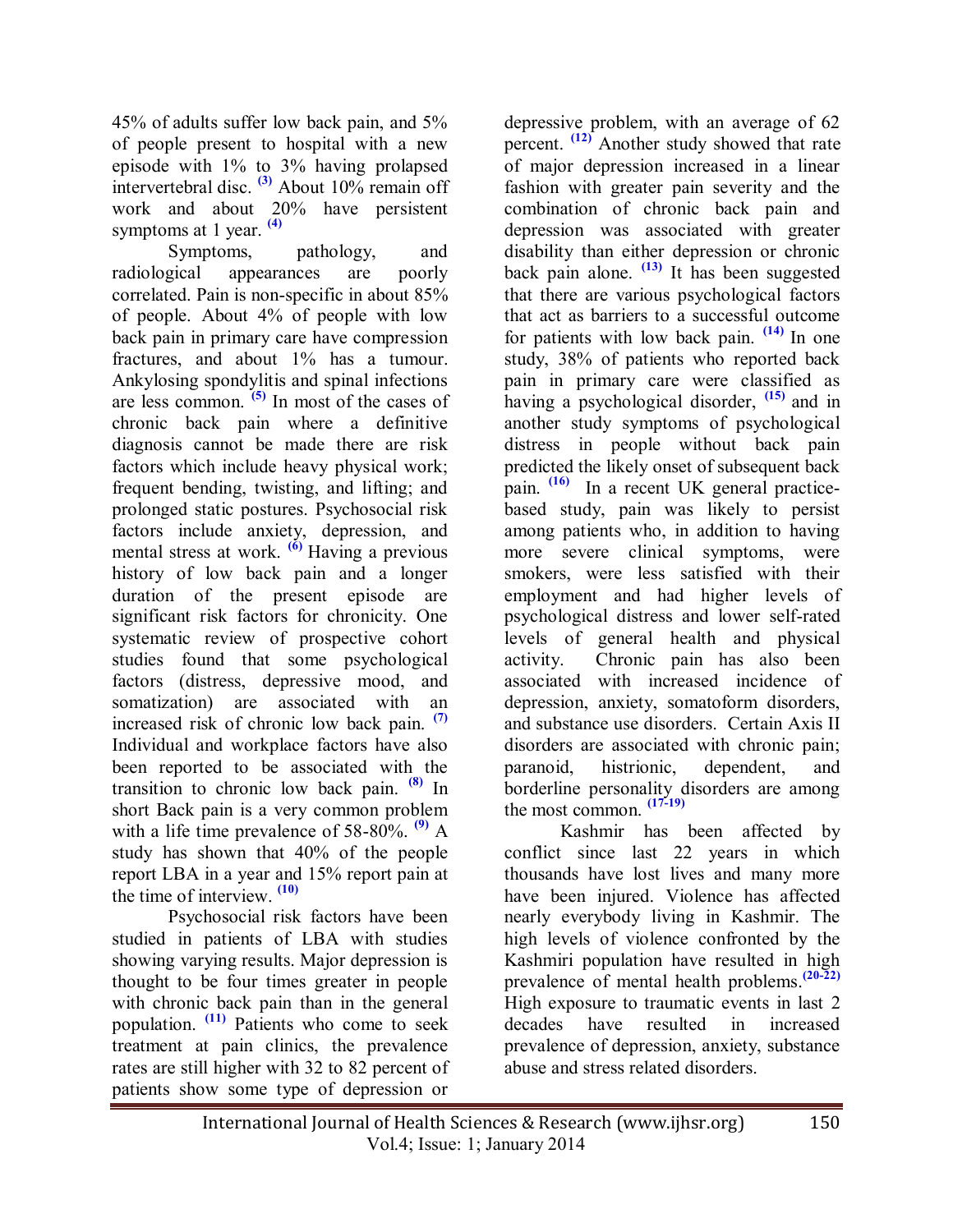45% of adults suffer low back pain, and 5% of people present to hospital with a new episode with 1% to 3% having prolapsed intervertebral disc. **[\(3\)](#page-4-1)** About 10% remain off work and about 20% have persistent symptoms at 1 year. **[\(4\)](#page-4-2)**

Symptoms, pathology, and radiological appearances are poorly correlated. Pain is non-specific in about 85% of people. About 4% of people with low back pain in primary care have compression fractures, and about 1% has a tumour. Ankylosing spondylitis and spinal infections are less common. **[\(5\)](#page-4-3)** In most of the cases of chronic back pain where a definitive diagnosis cannot be made there are risk factors which include heavy physical work; frequent bending, twisting, and lifting; and prolonged static postures. Psychosocial risk factors include anxiety, depression, and mental stress at work. **[\(6\)](#page-4-4)** Having a previous history of low back pain and a longer duration of the present episode are significant risk factors for chronicity. One systematic review of prospective cohort studies found that some psychological factors (distress, depressive mood, and somatization) are associated with an increased risk of chronic low back pain. **[\(7\)](#page-4-5)** Individual and workplace factors have also been reported to be associated with the transition to chronic low back pain. **[\(8\)](#page-4-6)** In short Back pain is a very common problem with a life time prevalence of 58-80%.<sup>[\(9\)](#page-4-7)</sup> A study has shown that 40% of the people report LBA in a year and 15% report pain at the time of interview. **[\(10\)](#page-4-8)**

Psychosocial risk factors have been studied in patients of LBA with studies showing varying results. Major depression is thought to be four times greater in people with chronic back pain than in the general population. **[\(11\)](#page-4-9)** Patients who come to seek treatment at pain clinics, the prevalence rates are still higher with 32 to 82 percent of patients show some type of depression or

depressive problem, with an average of 62 percent. **[\(12\)](#page-4-10)** Another study showed that rate of major depression increased in a linear fashion with greater pain severity and the combination of chronic back pain and depression was associated with greater disability than either depression or chronic back pain alone. **[\(13\)](#page-4-11)** It has been suggested that there are various psychological factors that act as barriers to a successful outcome for patients with low back pain. **[\(14\)](#page-4-12)** In one study, 38% of patients who reported back pain in primary care were classified as having a psychological disorder, **[\(15\)](#page-4-13)** and in another study symptoms of psychological distress in people without back pain predicted the likely onset of subsequent back pain. **[\(16\)](#page-4-14)** In a recent UK general practicebased study, pain was likely to persist among patients who, in addition to having more severe clinical symptoms, were smokers, were less satisfied with their employment and had higher levels of psychological distress and lower self-rated levels of general health and physical activity. Chronic pain has also been associated with increased incidence of depression, anxiety, somatoform disorders, and substance use disorders. Certain Axis II disorders are associated with chronic pain; paranoid, histrionic, dependent, and borderline personality disorders are among the most common. **[\(17](#page-4-15)[-19\)](#page-4-16)**

Kashmir has been affected by conflict since last 22 years in which thousands have lost lives and many more have been injured. Violence has affected nearly everybody living in Kashmir. The high levels of violence confronted by the Kashmiri population have resulted in high prevalence of mental health problems. **[\(20](#page-4-17)[-22\)](#page-5-0)** High exposure to traumatic events in last 2 decades have resulted in increased prevalence of depression, anxiety, substance abuse and stress related disorders.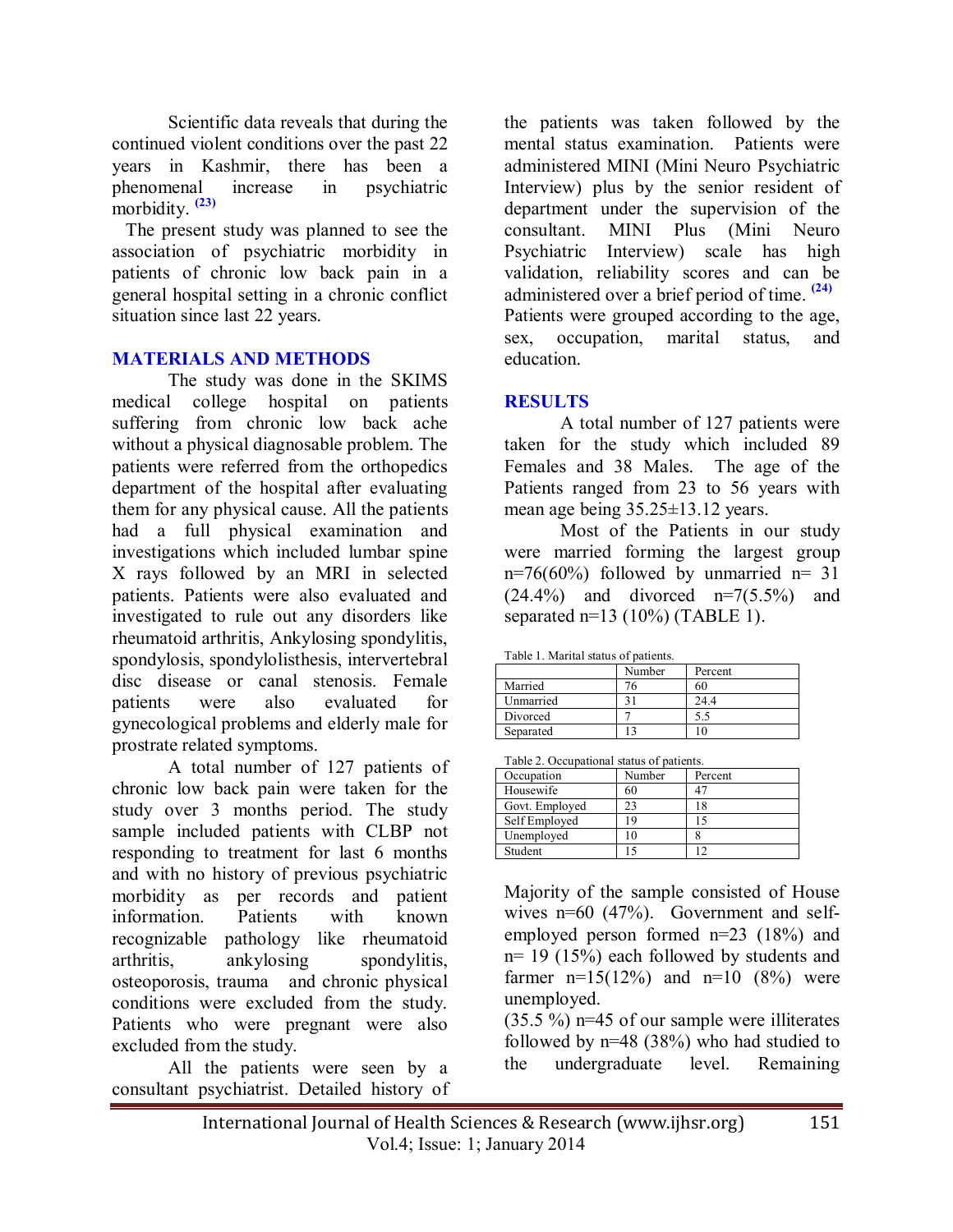Scientific data reveals that during the continued violent conditions over the past 22 years in Kashmir, there has been a phenomenal increase in psychiatric morbidity. **[\(23\)](#page-5-1)**

 The present study was planned to see the association of psychiatric morbidity in patients of chronic low back pain in a general hospital setting in a chronic conflict situation since last 22 years.

## **MATERIALS AND METHODS**

The study was done in the SKIMS medical college hospital on patients suffering from chronic low back ache without a physical diagnosable problem. The patients were referred from the orthopedics department of the hospital after evaluating them for any physical cause. All the patients had a full physical examination and investigations which included lumbar spine X rays followed by an MRI in selected patients. Patients were also evaluated and investigated to rule out any disorders like rheumatoid arthritis, Ankylosing spondylitis, spondylosis, spondylolisthesis, intervertebral disc disease or canal stenosis. Female patients were also evaluated for gynecological problems and elderly male for prostrate related symptoms.

A total number of 127 patients of chronic low back pain were taken for the study over 3 months period. The study sample included patients with CLBP not responding to treatment for last 6 months and with no history of previous psychiatric morbidity as per records and patient information. Patients with known recognizable pathology like rheumatoid arthritis, ankylosing spondylitis, osteoporosis, trauma and chronic physical conditions were excluded from the study. Patients who were pregnant were also excluded from the study.

All the patients were seen by a consultant psychiatrist. Detailed history of the patients was taken followed by the mental status examination. Patients were administered MINI (Mini Neuro Psychiatric Interview) plus by the senior resident of department under the supervision of the consultant. MINI Plus (Mini Neuro Psychiatric Interview) scale has high validation, reliability scores and can be administered over a brief period of time. **[\(24\)](#page-5-2)** Patients were grouped according to the age, sex, occupation, marital status, and

education.

## **RESULTS**

A total number of 127 patients were taken for the study which included 89 Females and 38 Males. The age of the Patients ranged from 23 to 56 years with mean age being 35.25±13.12 years.

Most of the Patients in our study were married forming the largest group  $n=76(60%)$  followed by unmarried  $n=31$  $(24.4\%)$  and divorced  $n=7(5.5\%)$  and separated  $n=13$  (10%) (TABLE 1).

Table 1. Marital status of patients.

|           | Number | Percent |
|-----------|--------|---------|
| Married   | 76     | 60      |
| Unmarried |        | 24.4    |
| Divorced  |        | כ. כ    |
| Separated |        | -0      |

| Table 2. Occupational status of patients. |        |         |  |  |
|-------------------------------------------|--------|---------|--|--|
| Occupation                                | Number | Percent |  |  |
| Housewife                                 | 60     | 47      |  |  |
| Govt. Employed                            | 23     | 18      |  |  |
| Self Employed                             | 19     | 15      |  |  |
| Unemployed                                | 10     |         |  |  |
| Student                                   |        | 12      |  |  |

Majority of the sample consisted of House wives n=60 (47%). Government and selfemployed person formed n=23 (18%) and n= 19 (15%) each followed by students and farmer  $n=15(12%)$  and  $n=10(8%)$  were unemployed.

<span id="page-3-0"></span>(35.5 %) n=45 of our sample were illiterates followed by n=48 (38%) who had studied to the undergraduate level. Remaining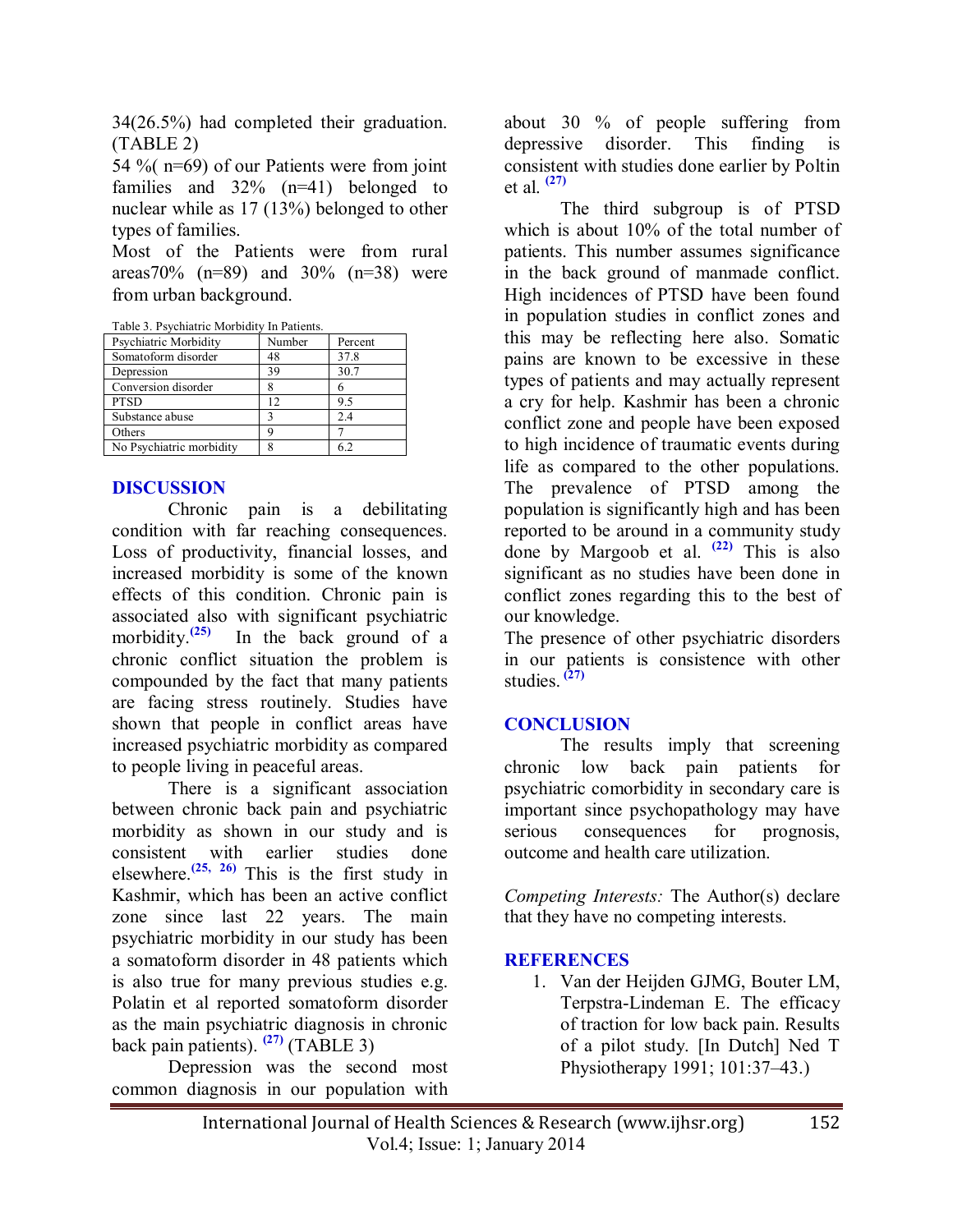<span id="page-4-0"></span>34(26.5%) had completed their graduation. (TABLE 2)

54 %( n=69) of our Patients were from joint families and  $32\%$  (n=41) belonged to nuclear while as 17 (13%) belonged to other types of families.

Most of the Patients were from rural areas70% (n=89) and 30% (n=38) were from urban background.

<span id="page-4-1"></span>

| Table 3. Psychiatric Morbidity In Patients. |  |  |
|---------------------------------------------|--|--|
|                                             |  |  |

| Psychiatric Morbidity    | Number | Percent |
|--------------------------|--------|---------|
| Somatoform disorder      | 48     | 37.8    |
| Depression               | 39     | 30.7    |
| Conversion disorder      |        |         |
| <b>PTSD</b>              | 12     | 95      |
| Substance abuse          |        | 2.4     |
| Others                   |        |         |
| No Psychiatric morbidity |        | 62      |
|                          |        |         |

#### <span id="page-4-2"></span>**DISCUSSION**

<span id="page-4-4"></span><span id="page-4-3"></span>Chronic pain is a debilitating condition with far reaching consequences. Loss of productivity, financial losses, and increased morbidity is some of the known effects of this condition. Chronic pain is associated also with significant psychiatric morbidity.**[\(25\)](#page-5-3)** In the back ground of a chronic conflict situation the problem is compounded by the fact that many patients are facing stress routinely. Studies have shown that people in conflict areas have increased psychiatric morbidity as compared to people living in peaceful areas.

<span id="page-4-6"></span><span id="page-4-5"></span>There is a significant association between chronic back pain and psychiatric morbidity as shown in our study and is consistent with earlier studies done elsewhere.<sup> $(25, 26)$  $(25, 26)$ </sup> This is the first study in Kashmir, which has been an active conflict zone since last 22 years. The main psychiatric morbidity in our study has been a somatoform disorder in 48 patients which is also true for many previous studies e.g. Polatin et al reported somatoform disorder as the main psychiatric diagnosis in chronic back pain patients). **[\(27\)](#page-5-5)** (TABLE 3)

<span id="page-4-8"></span><span id="page-4-7"></span>Depression was the second most common diagnosis in our population with

<span id="page-4-9"></span>about 30 % of people suffering from depressive disorder. This finding is consistent with studies done earlier by Poltin et al. **[\(27\)](#page-5-5)**

<span id="page-4-11"></span><span id="page-4-10"></span>The third subgroup is of PTSD which is about 10% of the total number of patients. This number assumes significance in the back ground of manmade conflict. High incidences of PTSD have been found in population studies in conflict zones and this may be reflecting here also. Somatic pains are known to be excessive in these types of patients and may actually represent a cry for help. Kashmir has been a chronic conflict zone and people have been exposed to high incidence of traumatic events during life as compared to the other populations. The prevalence of PTSD among the population is significantly high and has been reported to be around in a community study done by Margoob et al. **[\(22\)](#page-5-0)** This is also significant as no studies have been done in conflict zones regarding this to the best of our knowledge.

<span id="page-4-14"></span><span id="page-4-13"></span><span id="page-4-12"></span>The presence of other psychiatric disorders in our patients is consistence with other studies. **[\(27\)](#page-5-5)**

#### **CONCLUSION**

<span id="page-4-15"></span>The results imply that screening chronic low back pain patients for psychiatric comorbidity in secondary care is important since psychopathology may have serious consequences for prognosis, outcome and health care utilization.

*Competing Interests:* The Author(s) declare that they have no competing interests.

#### **REFERENCES**

<span id="page-4-17"></span><span id="page-4-16"></span>1. Van der Heijden GJMG, Bouter LM, Terpstra-Lindeman E. The efficacy of traction for low back pain. Results of a pilot study. [In Dutch] Ned T Physiotherapy 1991; 101:37–43.)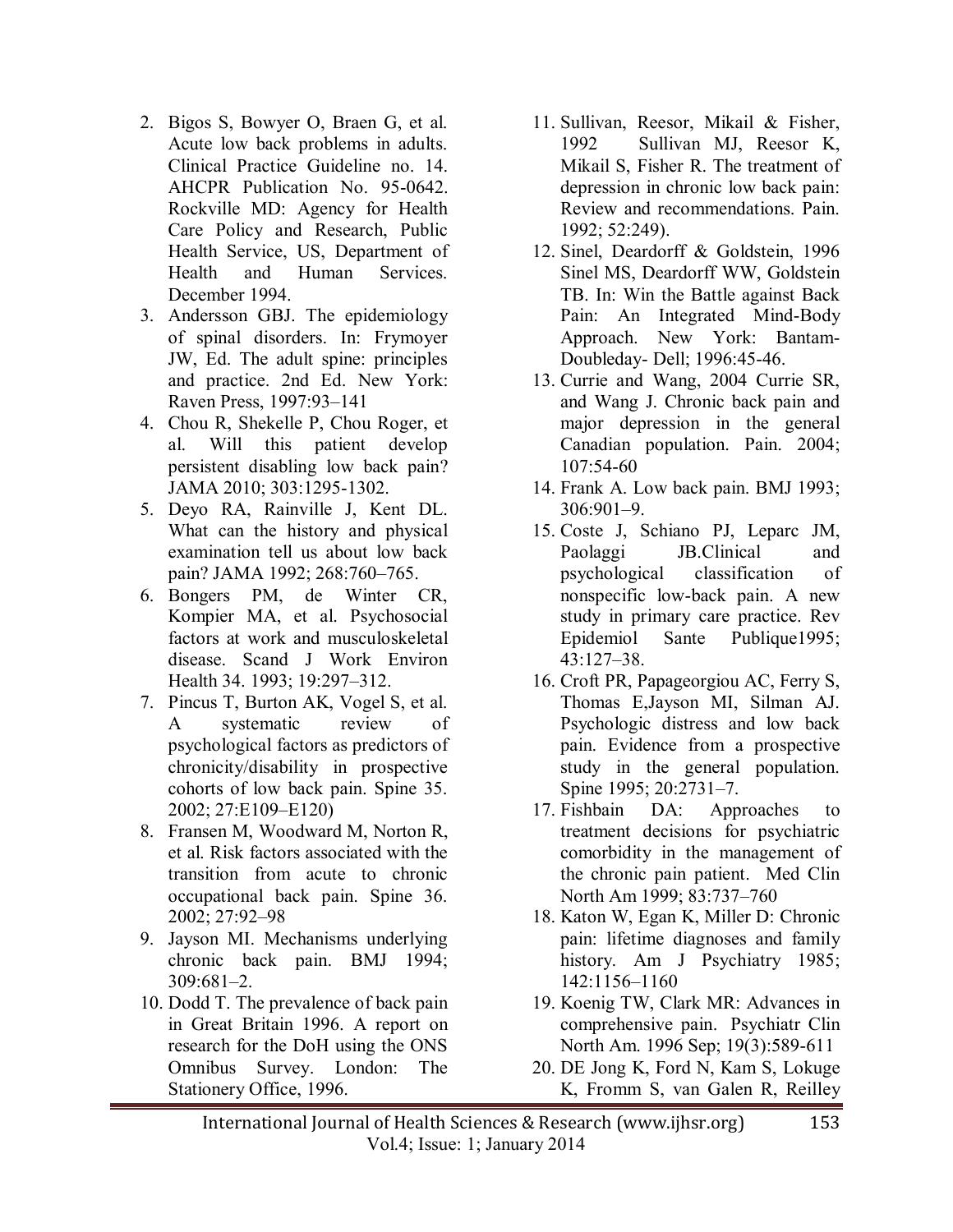- 2. Bigos S, Bowyer O, Braen G, et al. Acute low back problems in adults. Clinical Practice Guideline no. 14. AHCPR Publication No. 95-0642. Rockville MD: Agency for Health Care Policy and Research, Public Health Service, US, Department of Health and Human Services. December 1994.
- <span id="page-5-0"></span>3. Andersson GBJ. The epidemiology of spinal disorders. In: Frymoyer JW, Ed. The adult spine: principles and practice. 2nd Ed. New York: Raven Press, 1997:93–141
- <span id="page-5-1"></span>4. Chou R, Shekelle P, Chou Roger, et al. Will this patient develop persistent disabling low back pain? JAMA 2010; 303:1295-1302.
- <span id="page-5-2"></span>5. Deyo RA, Rainville J, Kent DL. What can the history and physical examination tell us about low back pain? JAMA 1992; 268:760–765.
- 6. Bongers PM, de Winter CR, Kompier MA, et al. Psychosocial factors at work and musculoskeletal disease. Scand J Work Environ Health 34. 1993; 19:297–312.
- 7. Pincus T, Burton AK, Vogel S, et al. A systematic review of psychological factors as predictors of chronicity/disability in prospective cohorts of low back pain. Spine 35. 2002; 27:E109–E120)
- 8. Fransen M, Woodward M, Norton R, et al. Risk factors associated with the transition from acute to chronic occupational back pain. Spine 36. 2002; 27:92–98
- 9. Jayson MI. Mechanisms underlying chronic back pain. BMJ 1994; 309:681–2.
- 10. Dodd T. The prevalence of back pain in Great Britain 1996. A report on research for the DoH using the ONS Omnibus Survey. London: The Stationery Office, 1996.
- 11. Sullivan, Reesor, Mikail & Fisher, 1992 Sullivan MJ, Reesor K, Mikail S, Fisher R. The treatment of depression in chronic low back pain: Review and recommendations. Pain. 1992; 52:249).
- <span id="page-5-3"></span>12. Sinel, Deardorff & Goldstein, 1996 Sinel MS, Deardorff WW, Goldstein TB. In: Win the Battle against Back Pain: An Integrated Mind-Body Approach. New York: Bantam-Doubleday- Dell; 1996:45-46.
- <span id="page-5-4"></span>13. Currie and Wang, 2004 Currie SR, and Wang J. Chronic back pain and major depression in the general Canadian population. Pain. 2004; 107:54-60
- 14. Frank A. Low back pain. BMJ 1993; 306:901–9.
- <span id="page-5-5"></span>15. Coste J, Schiano PJ, Leparc JM, Paolaggi JB.Clinical and psychological classification of nonspecific low-back pain. A new study in primary care practice. Rev Epidemiol Sante Publique1995; 43:127–38.
- 16. Croft PR, Papageorgiou AC, Ferry S, Thomas E,Jayson MI, Silman AJ. Psychologic distress and low back pain. Evidence from a prospective study in the general population. Spine 1995; 20:2731–7.
- 17. Fishbain DA: Approaches to treatment decisions for psychiatric comorbidity in the management of the chronic pain patient. Med Clin North Am 1999; 83:737–760
- 18. Katon W, Egan K, Miller D: Chronic pain: lifetime diagnoses and family history. Am J Psychiatry 1985; 142:1156–1160
- 19. Koenig TW, Clark MR: Advances in comprehensive pain. Psychiatr Clin North Am. 1996 Sep; 19(3):589-611
- 20. DE Jong K, Ford N, Kam S, Lokuge K, Fromm S, van Galen R, Reilley